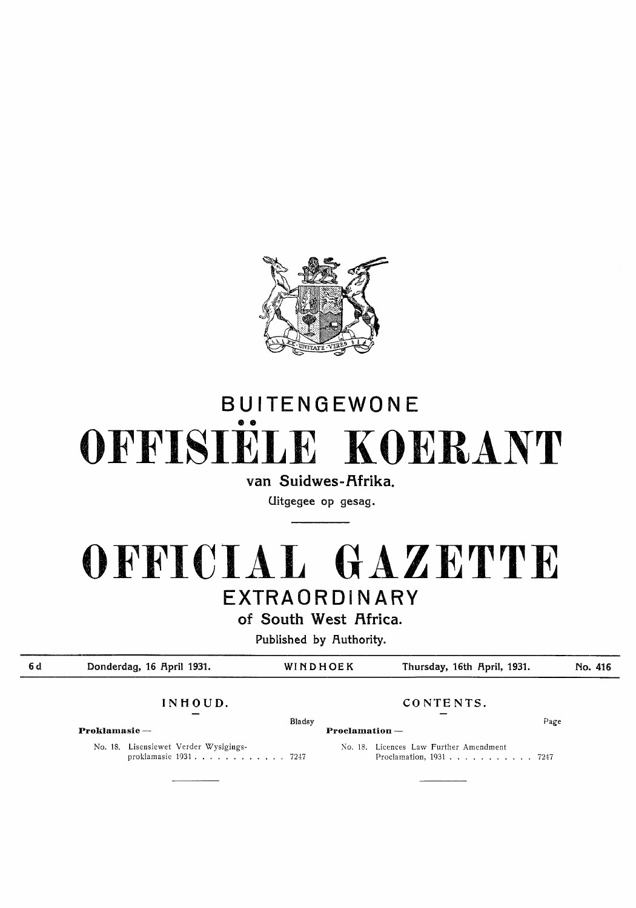

# BUITENGEWONE •• **OFFISIELE KOERANT**

van Suidwes-Afrika.

Uitgegee op gesag.

# **OFFICIAL GAZETTE**  EXTRAORDINARY

of South West Africa.

Published by Authority.

| 6 d | Donderdag, 16 April 1931. |                                                                | WINDHOEK |                | Thursday, 16th April, 1931.                                                                     |      | No. 416 |
|-----|---------------------------|----------------------------------------------------------------|----------|----------------|-------------------------------------------------------------------------------------------------|------|---------|
|     | INHOUD.                   |                                                                |          | CONTENTS.      |                                                                                                 |      |         |
|     | $\bf Proklamasie-$        |                                                                | Bladsy   | Proclamation - |                                                                                                 | Page |         |
|     |                           | No. 18. Lisensiewet Verder Wysigings-<br>proklamasie 1931 7247 |          |                | No. 18. Licences Law Further Amendment<br>Proclamation, $1931 \ldots \ldots \ldots \ldots 7247$ |      |         |